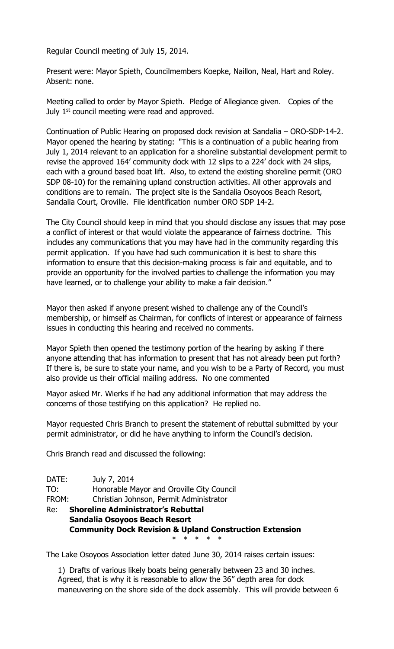Regular Council meeting of July 15, 2014.

Present were: Mayor Spieth, Councilmembers Koepke, Naillon, Neal, Hart and Roley. Absent: none.

Meeting called to order by Mayor Spieth. Pledge of Allegiance given. Copies of the July  $1<sup>st</sup>$  council meeting were read and approved.

Continuation of Public Hearing on proposed dock revision at Sandalia – ORO-SDP-14-2. Mayor opened the hearing by stating: "This is a continuation of a public hearing from July 1, 2014 relevant to an application for a shoreline substantial development permit to revise the approved 164' community dock with 12 slips to a 224' dock with 24 slips, each with a ground based boat lift. Also, to extend the existing shoreline permit (ORO SDP 08-10) for the remaining upland construction activities. All other approvals and conditions are to remain. The project site is the Sandalia Osoyoos Beach Resort, Sandalia Court, Oroville. File identification number ORO SDP 14-2.

The City Council should keep in mind that you should disclose any issues that may pose a conflict of interest or that would violate the appearance of fairness doctrine. This includes any communications that you may have had in the community regarding this permit application. If you have had such communication it is best to share this information to ensure that this decision-making process is fair and equitable, and to provide an opportunity for the involved parties to challenge the information you may have learned, or to challenge your ability to make a fair decision."

Mayor then asked if anyone present wished to challenge any of the Council's membership, or himself as Chairman, for conflicts of interest or appearance of fairness issues in conducting this hearing and received no comments.

Mayor Spieth then opened the testimony portion of the hearing by asking if there anyone attending that has information to present that has not already been put forth? If there is, be sure to state your name, and you wish to be a Party of Record, you must also provide us their official mailing address. No one commented

Mayor asked Mr. Wierks if he had any additional information that may address the concerns of those testifying on this application? He replied no.

Mayor requested Chris Branch to present the statement of rebuttal submitted by your permit administrator, or did he have anything to inform the Council's decision.

Chris Branch read and discussed the following:

| DATE: | July 7, 2014                     |
|-------|----------------------------------|
| TO:   | Honorable Mayor and Oroville Cit |

IO: Honorable Mayor and Oroville City Council<br>FROM: Christian Johnson, Permit Administrator Christian Johnson, Permit Administrator

Re: **Shoreline Administrator's Rebuttal Sandalia Osoyoos Beach Resort Community Dock Revision & Upland Construction Extension** \* \* \* \* \*

The Lake Osoyoos Association letter dated June 30, 2014 raises certain issues:

1) Drafts of various likely boats being generally between 23 and 30 inches. Agreed, that is why it is reasonable to allow the 36" depth area for dock maneuvering on the shore side of the dock assembly. This will provide between 6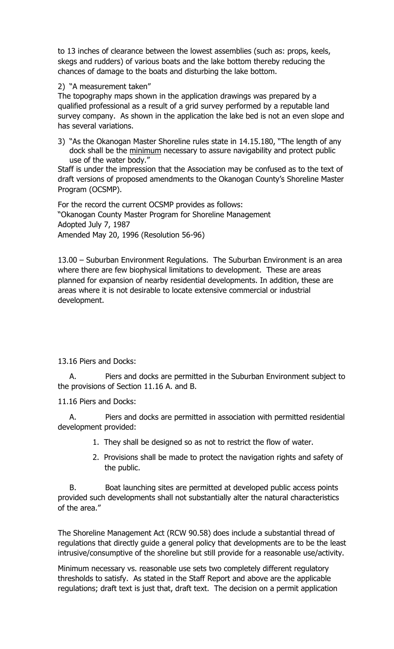to 13 inches of clearance between the lowest assemblies (such as: props, keels, skegs and rudders) of various boats and the lake bottom thereby reducing the chances of damage to the boats and disturbing the lake bottom.

## 2) "A measurement taken"

The topography maps shown in the application drawings was prepared by a qualified professional as a result of a grid survey performed by a reputable land survey company. As shown in the application the lake bed is not an even slope and has several variations.

3) "As the Okanogan Master Shoreline rules state in 14.15.180, "The length of any dock shall be the minimum necessary to assure navigability and protect public use of the water body."

Staff is under the impression that the Association may be confused as to the text of draft versions of proposed amendments to the Okanogan County's Shoreline Master Program (OCSMP).

For the record the current OCSMP provides as follows: "Okanogan County Master Program for Shoreline Management Adopted July 7, 1987 Amended May 20, 1996 (Resolution 56-96)

13.00 – Suburban Environment Regulations. The Suburban Environment is an area where there are few biophysical limitations to development. These are areas planned for expansion of nearby residential developments. In addition, these are areas where it is not desirable to locate extensive commercial or industrial development.

## 13.16 Piers and Docks:

A. Piers and docks are permitted in the Suburban Environment subject to the provisions of Section 11.16 A. and B.

11.16 Piers and Docks:

A. Piers and docks are permitted in association with permitted residential development provided:

- 1. They shall be designed so as not to restrict the flow of water.
- 2. Provisions shall be made to protect the navigation rights and safety of the public.

B. Boat launching sites are permitted at developed public access points provided such developments shall not substantially alter the natural characteristics of the area."

The Shoreline Management Act (RCW 90.58) does include a substantial thread of regulations that directly guide a general policy that developments are to be the least intrusive/consumptive of the shoreline but still provide for a reasonable use/activity.

Minimum necessary vs. reasonable use sets two completely different regulatory thresholds to satisfy. As stated in the Staff Report and above are the applicable regulations; draft text is just that, draft text. The decision on a permit application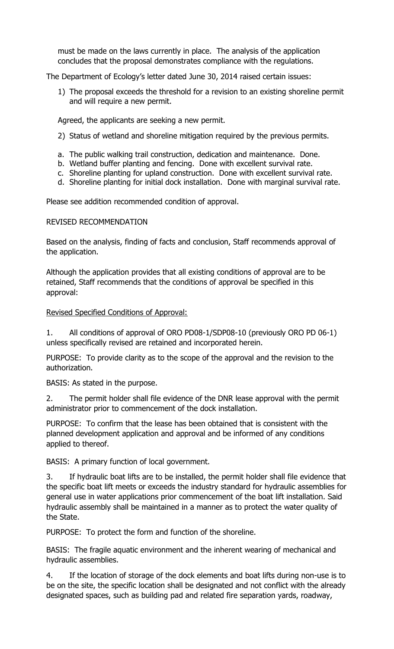must be made on the laws currently in place. The analysis of the application concludes that the proposal demonstrates compliance with the regulations.

The Department of Ecology's letter dated June 30, 2014 raised certain issues:

1) The proposal exceeds the threshold for a revision to an existing shoreline permit and will require a new permit.

Agreed, the applicants are seeking a new permit.

- 2) Status of wetland and shoreline mitigation required by the previous permits.
- a. The public walking trail construction, dedication and maintenance. Done.
- b. Wetland buffer planting and fencing. Done with excellent survival rate.
- c. Shoreline planting for upland construction. Done with excellent survival rate.
- d. Shoreline planting for initial dock installation. Done with marginal survival rate.

Please see addition recommended condition of approval.

REVISED RECOMMENDATION

Based on the analysis, finding of facts and conclusion, Staff recommends approval of the application.

Although the application provides that all existing conditions of approval are to be retained, Staff recommends that the conditions of approval be specified in this approval:

Revised Specified Conditions of Approval:

1. All conditions of approval of ORO PD08-1/SDP08-10 (previously ORO PD 06-1) unless specifically revised are retained and incorporated herein.

PURPOSE: To provide clarity as to the scope of the approval and the revision to the authorization.

BASIS: As stated in the purpose.

2. The permit holder shall file evidence of the DNR lease approval with the permit administrator prior to commencement of the dock installation.

PURPOSE: To confirm that the lease has been obtained that is consistent with the planned development application and approval and be informed of any conditions applied to thereof.

BASIS: A primary function of local government.

3. If hydraulic boat lifts are to be installed, the permit holder shall file evidence that the specific boat lift meets or exceeds the industry standard for hydraulic assemblies for general use in water applications prior commencement of the boat lift installation. Said hydraulic assembly shall be maintained in a manner as to protect the water quality of the State.

PURPOSE: To protect the form and function of the shoreline.

BASIS: The fragile aquatic environment and the inherent wearing of mechanical and hydraulic assemblies.

4. If the location of storage of the dock elements and boat lifts during non-use is to be on the site, the specific location shall be designated and not conflict with the already designated spaces, such as building pad and related fire separation yards, roadway,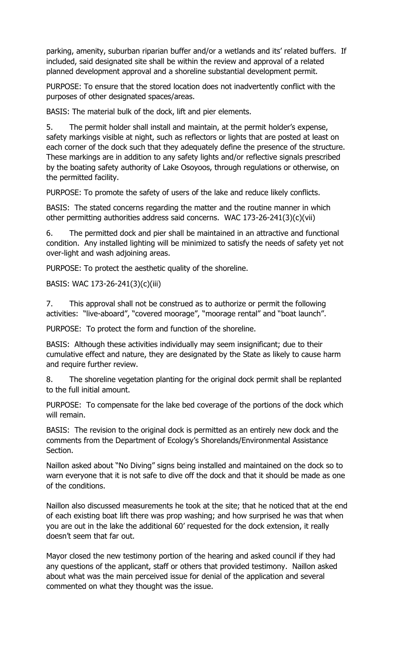parking, amenity, suburban riparian buffer and/or a wetlands and its' related buffers. If included, said designated site shall be within the review and approval of a related planned development approval and a shoreline substantial development permit.

PURPOSE: To ensure that the stored location does not inadvertently conflict with the purposes of other designated spaces/areas.

BASIS: The material bulk of the dock, lift and pier elements.

5. The permit holder shall install and maintain, at the permit holder's expense, safety markings visible at night, such as reflectors or lights that are posted at least on each corner of the dock such that they adequately define the presence of the structure. These markings are in addition to any safety lights and/or reflective signals prescribed by the boating safety authority of Lake Osoyoos, through regulations or otherwise, on the permitted facility.

PURPOSE: To promote the safety of users of the lake and reduce likely conflicts.

BASIS: The stated concerns regarding the matter and the routine manner in which other permitting authorities address said concerns. WAC 173-26-241(3)(c)(vii)

6. The permitted dock and pier shall be maintained in an attractive and functional condition. Any installed lighting will be minimized to satisfy the needs of safety yet not over-light and wash adjoining areas.

PURPOSE: To protect the aesthetic quality of the shoreline.

BASIS: WAC 173-26-241(3)(c)(iii)

7. This approval shall not be construed as to authorize or permit the following activities: "live-aboard", "covered moorage", "moorage rental" and "boat launch".

PURPOSE: To protect the form and function of the shoreline.

BASIS: Although these activities individually may seem insignificant; due to their cumulative effect and nature, they are designated by the State as likely to cause harm and require further review.

8. The shoreline vegetation planting for the original dock permit shall be replanted to the full initial amount.

PURPOSE: To compensate for the lake bed coverage of the portions of the dock which will remain.

BASIS: The revision to the original dock is permitted as an entirely new dock and the comments from the Department of Ecology's Shorelands/Environmental Assistance Section.

Naillon asked about "No Diving" signs being installed and maintained on the dock so to warn everyone that it is not safe to dive off the dock and that it should be made as one of the conditions.

Naillon also discussed measurements he took at the site; that he noticed that at the end of each existing boat lift there was prop washing; and how surprised he was that when you are out in the lake the additional 60' requested for the dock extension, it really doesn't seem that far out.

Mayor closed the new testimony portion of the hearing and asked council if they had any questions of the applicant, staff or others that provided testimony. Naillon asked about what was the main perceived issue for denial of the application and several commented on what they thought was the issue.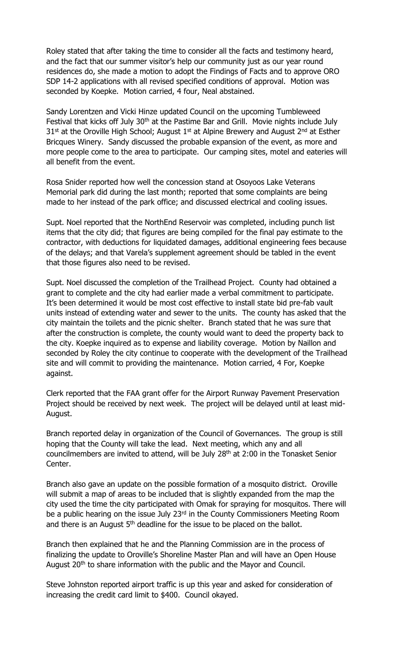Roley stated that after taking the time to consider all the facts and testimony heard, and the fact that our summer visitor's help our community just as our year round residences do, she made a motion to adopt the Findings of Facts and to approve ORO SDP 14-2 applications with all revised specified conditions of approval. Motion was seconded by Koepke. Motion carried, 4 four, Neal abstained.

Sandy Lorentzen and Vicki Hinze updated Council on the upcoming Tumbleweed Festival that kicks off July 30<sup>th</sup> at the Pastime Bar and Grill. Movie nights include July  $31$ <sup>st</sup> at the Oroville High School; August  $1<sup>st</sup>$  at Alpine Brewery and August  $2<sup>nd</sup>$  at Esther Bricques Winery. Sandy discussed the probable expansion of the event, as more and more people come to the area to participate. Our camping sites, motel and eateries will all benefit from the event.

Rosa Snider reported how well the concession stand at Osoyoos Lake Veterans Memorial park did during the last month; reported that some complaints are being made to her instead of the park office; and discussed electrical and cooling issues.

Supt. Noel reported that the NorthEnd Reservoir was completed, including punch list items that the city did; that figures are being compiled for the final pay estimate to the contractor, with deductions for liquidated damages, additional engineering fees because of the delays; and that Varela's supplement agreement should be tabled in the event that those figures also need to be revised.

Supt. Noel discussed the completion of the Trailhead Project. County had obtained a grant to complete and the city had earlier made a verbal commitment to participate. It's been determined it would be most cost effective to install state bid pre-fab vault units instead of extending water and sewer to the units. The county has asked that the city maintain the toilets and the picnic shelter. Branch stated that he was sure that after the construction is complete, the county would want to deed the property back to the city. Koepke inquired as to expense and liability coverage. Motion by Naillon and seconded by Roley the city continue to cooperate with the development of the Trailhead site and will commit to providing the maintenance. Motion carried, 4 For, Koepke against.

Clerk reported that the FAA grant offer for the Airport Runway Pavement Preservation Project should be received by next week. The project will be delayed until at least mid-August.

Branch reported delay in organization of the Council of Governances. The group is still hoping that the County will take the lead. Next meeting, which any and all councilmembers are invited to attend, will be July 28<sup>th</sup> at 2:00 in the Tonasket Senior Center.

Branch also gave an update on the possible formation of a mosquito district. Oroville will submit a map of areas to be included that is slightly expanded from the map the city used the time the city participated with Omak for spraying for mosquitos. There will be a public hearing on the issue July 23<sup>rd</sup> in the County Commissioners Meeting Room and there is an August  $5<sup>th</sup>$  deadline for the issue to be placed on the ballot.

Branch then explained that he and the Planning Commission are in the process of finalizing the update to Oroville's Shoreline Master Plan and will have an Open House August  $20<sup>th</sup>$  to share information with the public and the Mayor and Council.

Steve Johnston reported airport traffic is up this year and asked for consideration of increasing the credit card limit to \$400. Council okayed.